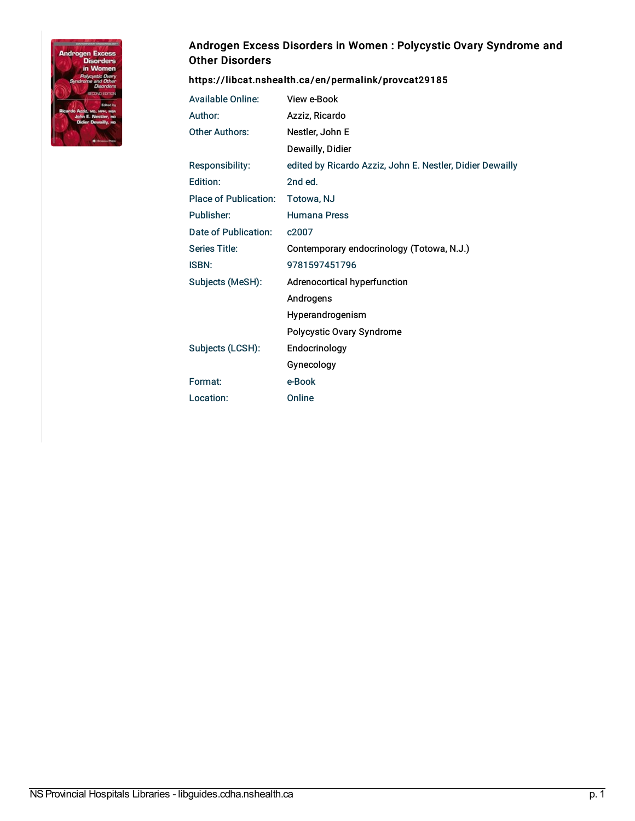

## Androgen Excess Disorders in Women : Polycystic Ovary Syndrome and Other Disorders

## <https://libcat.nshealth.ca/en/permalink/provcat29185>

| <b>Available Online:</b> | View e-Book                                               |
|--------------------------|-----------------------------------------------------------|
| Author:                  | Azziz, Ricardo                                            |
| <b>Other Authors:</b>    | Nestler, John E                                           |
|                          | Dewailly, Didier                                          |
| <b>Responsibility:</b>   | edited by Ricardo Azziz, John E. Nestler, Didier Dewailly |
| Edition:                 | 2nd ed.                                                   |
| Place of Publication:    | Totowa, NJ                                                |
| Publisher:               | <b>Humana Press</b>                                       |
| Date of Publication:     | c2007                                                     |
| Series Title:            | Contemporary endocrinology (Totowa, N.J.)                 |
| <b>ISBN:</b>             | 9781597451796                                             |
| Subjects (MeSH):         | Adrenocortical hyperfunction                              |
|                          | Androgens                                                 |
|                          | Hyperandrogenism                                          |
|                          | Polycystic Ovary Syndrome                                 |
| Subjects (LCSH):         | Endocrinology                                             |
|                          | Gynecology                                                |
| Format:                  | e-Book                                                    |
| Location:                | Online                                                    |